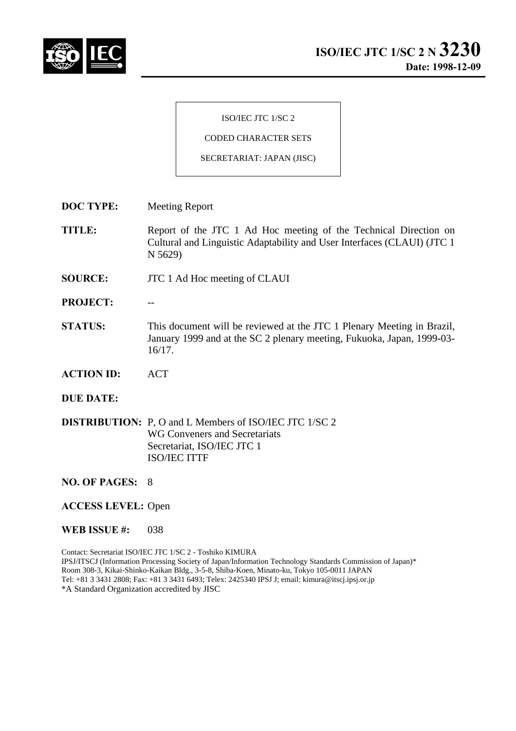

ISO/IEC JTC 1/SC 2

CODED CHARACTER SETS

SECRETARIAT: JAPAN (JISC)

**DOC TYPE:** Meeting Report

**TITLE:** Report of the JTC 1 Ad Hoc meeting of the Technical Direction on Cultural and Linguistic Adaptability and User Interfaces (CLAUI) (JTC 1 N 5629)

- **SOURCE:** JTC 1 Ad Hoc meeting of CLAUI
- PROJECT:
- **STATUS:** This document will be reviewed at the JTC 1 Plenary Meeting in Brazil, January 1999 and at the SC 2 plenary meeting, Fukuoka, Japan, 1999-03- 16/17.
- **ACTION ID:** ACT
- **DUE DATE:**

**DISTRIBUTION:** P, O and L Members of ISO/IEC JTC 1/SC 2 WG Conveners and Secretariats Secretariat, ISO/IEC JTC 1 ISO/IEC ITTF

**NO. OF PAGES:** 8

**ACCESS LEVEL:** Open

**WEB ISSUE #:** 038

Contact: Secretariat ISO/IEC JTC 1/SC 2 - Toshiko KIMURA IPSJ/ITSCJ (Information Processing Society of Japan/Information Technology Standards Commission of Japan)\* Room 308-3, Kikai-Shinko-Kaikan Bldg., 3-5-8, Shiba-Koen, Minato-ku, Tokyo 105-0011 JAPAN Tel: +81 3 3431 2808; Fax: +81 3 3431 6493; Telex: 2425340 IPSJ J; email: kimura@itscj.ipsj.or.jp \*A Standard Organization accredited by JISC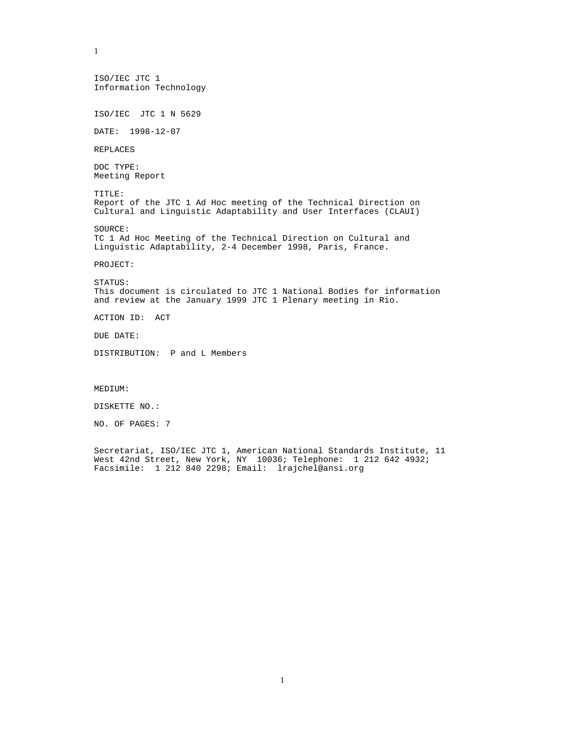ISO/IEC JTC 1 Information Technology ISO/IEC JTC 1 N 5629 DATE: 1998-12-07 REPLACES DOC TYPE: Meeting Report TITLE: Report of the JTC 1 Ad Hoc meeting of the Technical Direction on Cultural and Linguistic Adaptability and User Interfaces (CLAUI) SOURCE: TC 1 Ad Hoc Meeting of the Technical Direction on Cultural and Linguistic Adaptability, 2-4 December 1998, Paris, France. PROJECT: STATUS: This document is circulated to JTC 1 National Bodies for information and review at the January 1999 JTC 1 Plenary meeting in Rio. ACTION ID: ACT DUE DATE: DISTRIBUTION: P and L Members MEDIUM: DISKETTE NO.:

NO. OF PAGES: 7

1

Secretariat, ISO/IEC JTC 1, American National Standards Institute, 11 West 42nd Street, New York, NY 10036; Telephone: 1 212 642 4932; Facsimile: 1 212 840 2298; Email: lrajchel@ansi.org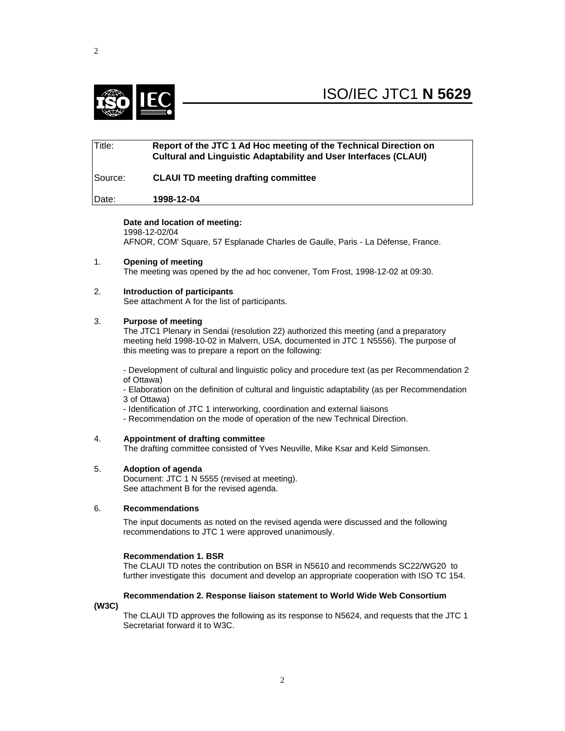

# Title: **Report of the JTC 1 Ad Hoc meeting of the Technical Direction on Cultural and Linguistic Adaptability and User Interfaces (CLAUI)** Source: **CLAUI TD meeting drafting committee** Date: **1998-12-04**

## **Date and location of meeting:**

1998-12-02/04 AFNOR, COM' Square, 57 Esplanade Charles de Gaulle, Paris - La Défense, France.

- 1. **Opening of meeting** The meeting was opened by the ad hoc convener, Tom Frost, 1998-12-02 at 09:30.
	-
- 2. **Introduction of participants** See attachment A for the list of participants.

# 3. **Purpose of meeting**

The JTC1 Plenary in Sendai (resolution 22) authorized this meeting (and a preparatory meeting held 1998-10-02 in Malvern, USA, documented in JTC 1 N5556). The purpose of this meeting was to prepare a report on the following:

- Development of cultural and linguistic policy and procedure text (as per Recommendation 2 of Ottawa)

- Elaboration on the definition of cultural and linguistic adaptability (as per Recommendation 3 of Ottawa)

- Identification of JTC 1 interworking, coordination and external liaisons
- Recommendation on the mode of operation of the new Technical Direction.
- 4. **Appointment of drafting committee**

The drafting committee consisted of Yves Neuville, Mike Ksar and Keld Simonsen.

## 5. **Adoption of agenda**

Document: JTC 1 N 5555 (revised at meeting). See attachment B for the revised agenda.

## 6. **Recommendations**

The input documents as noted on the revised agenda were discussed and the following recommendations to JTC 1 were approved unanimously.

## **Recommendation 1. BSR**

The CLAUI TD notes the contribution on BSR in N5610 and recommends SC22/WG20 to further investigate this document and develop an appropriate cooperation with ISO TC 154.

## **Recommendation 2. Response liaison statement to World Wide Web Consortium**

## **(W3C)**

The CLAUI TD approves the following as its response to N5624, and requests that the JTC 1 Secretariat forward it to W3C.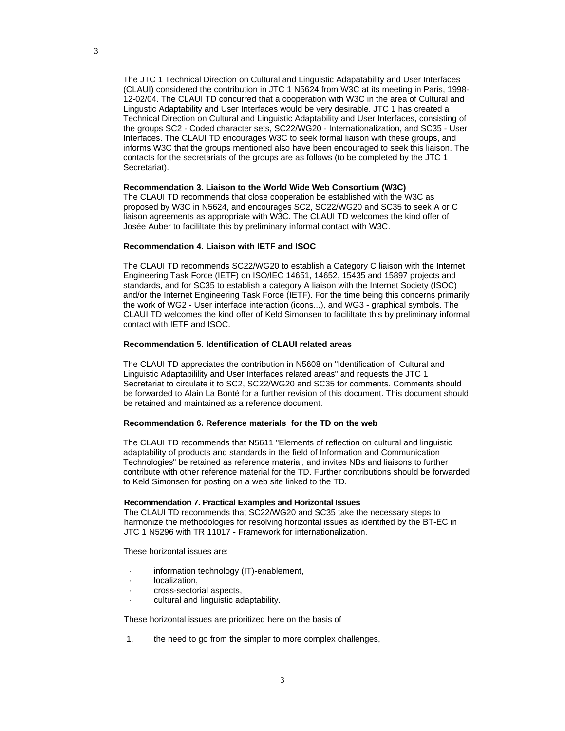The JTC 1 Technical Direction on Cultural and Linguistic Adapatability and User Interfaces (CLAUI) considered the contribution in JTC 1 N5624 from W3C at its meeting in Paris, 1998- 12-02/04. The CLAUI TD concurred that a cooperation with W3C in the area of Cultural and Lingustic Adaptability and User Interfaces would be very desirable. JTC 1 has created a Technical Direction on Cultural and Linguistic Adaptability and User Interfaces, consisting of the groups SC2 - Coded character sets, SC22/WG20 - Internationalization, and SC35 - User Interfaces. The CLAUI TD encourages W3C to seek formal liaison with these groups, and informs W3C that the groups mentioned also have been encouraged to seek this liaison. The contacts for the secretariats of the groups are as follows (to be completed by the JTC 1 Secretariat).

## **Recommendation 3. Liaison to the World Wide Web Consortium (W3C)**

The CLAUI TD recommends that close cooperation be established with the W3C as proposed by W3C in N5624, and encourages SC2, SC22/WG20 and SC35 to seek A or C liaison agreements as appropriate with W3C. The CLAUI TD welcomes the kind offer of Josée Auber to facililtate this by preliminary informal contact with W3C.

#### **Recommendation 4. Liaison with IETF and ISOC**

The CLAUI TD recommends SC22/WG20 to establish a Category C liaison with the Internet Engineering Task Force (IETF) on ISO/IEC 14651, 14652, 15435 and 15897 projects and standards, and for SC35 to establish a category A liaison with the Internet Society (ISOC) and/or the Internet Engineering Task Force (IETF). For the time being this concerns primarily the work of WG2 - User interface interaction (icons...), and WG3 - graphical symbols. The CLAUI TD welcomes the kind offer of Keld Simonsen to facililtate this by preliminary informal contact with IETF and ISOC.

## **Recommendation 5. Identification of CLAUI related areas**

The CLAUI TD appreciates the contribution in N5608 on "Identification of Cultural and Linguistic Adaptabilility and User Interfaces related areas" and requests the JTC 1 Secretariat to circulate it to SC2, SC22/WG20 and SC35 for comments. Comments should be forwarded to Alain La Bonté for a further revision of this document. This document should be retained and maintained as a reference document.

#### **Recommendation 6. Reference materials for the TD on the web**

The CLAUI TD recommends that N5611 "Elements of reflection on cultural and linguistic adaptability of products and standards in the field of Information and Communication Technologies" be retained as reference material, and invites NBs and liaisons to further contribute with other reference material for the TD. Further contributions should be forwarded to Keld Simonsen for posting on a web site linked to the TD.

## **Recommendation 7. Practical Examples and Horizontal Issues**

The CLAUI TD recommends that SC22/WG20 and SC35 take the necessary steps to harmonize the methodologies for resolving horizontal issues as identified by the BT-EC in JTC 1 N5296 with TR 11017 - Framework for internationalization.

These horizontal issues are:

- information technology (IT)-enablement,
- localization.
- · cross-sectorial aspects,
- · cultural and linguistic adaptability.

These horizontal issues are prioritized here on the basis of

1. the need to go from the simpler to more complex challenges,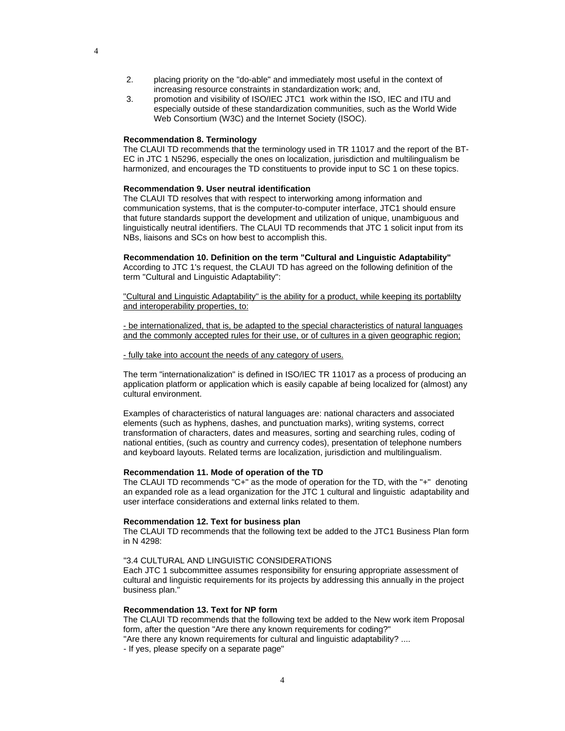- 2. placing priority on the "do-able" and immediately most useful in the context of increasing resource constraints in standardization work; and,
- 3. promotion and visibility of ISO/IEC JTC1 work within the ISO, IEC and ITU and especially outside of these standardization communities, such as the World Wide Web Consortium (W3C) and the Internet Society (ISOC).

#### **Recommendation 8. Terminology**

The CLAUI TD recommends that the terminology used in TR 11017 and the report of the BT-EC in JTC 1 N5296, especially the ones on localization, jurisdiction and multilingualism be harmonized, and encourages the TD constituents to provide input to SC 1 on these topics.

#### **Recommendation 9. User neutral identification**

The CLAUI TD resolves that with respect to interworking among information and communication systems, that is the computer-to-computer interface, JTC1 should ensure that future standards support the development and utilization of unique, unambiguous and linguistically neutral identifiers. The CLAUI TD recommends that JTC 1 solicit input from its NBs, liaisons and SCs on how best to accomplish this.

**Recommendation 10. Definition on the term "Cultural and Linguistic Adaptability"** According to JTC 1's request, the CLAUI TD has agreed on the following definition of the term "Cultural and Linguistic Adaptability":

"Cultural and Linguistic Adaptability" is the ability for a product, while keeping its portablilty and interoperability properties, to:

- be internationalized, that is, be adapted to the special characteristics of natural languages and the commonly accepted rules for their use, or of cultures in a given geographic region;

- fully take into account the needs of any category of users.

The term "internationalization" is defined in ISO/IEC TR 11017 as a process of producing an application platform or application which is easily capable af being localized for (almost) any cultural environment.

Examples of characteristics of natural languages are: national characters and associated elements (such as hyphens, dashes, and punctuation marks), writing systems, correct transformation of characters, dates and measures, sorting and searching rules, coding of national entities, (such as country and currency codes), presentation of telephone numbers and keyboard layouts. Related terms are localization, jurisdiction and multilingualism.

#### **Recommendation 11. Mode of operation of the TD**

The CLAUI TD recommends "C+" as the mode of operation for the TD, with the "+" denoting an expanded role as a lead organization for the JTC 1 cultural and linguistic adaptability and user interface considerations and external links related to them.

#### **Recommendation 12. Text for business plan**

The CLAUI TD recommends that the following text be added to the JTC1 Business Plan form in N 4298:

#### "3.4 CULTURAL AND LINGUISTIC CONSIDERATIONS

Each JTC 1 subcommittee assumes responsibility for ensuring appropriate assessment of cultural and linguistic requirements for its projects by addressing this annually in the project business plan."

## **Recommendation 13. Text for NP form**

The CLAUI TD recommends that the following text be added to the New work item Proposal form, after the question "Are there any known requirements for coding?"

"Are there any known requirements for cultural and linguistic adaptability? ....

- If yes, please specify on a separate page"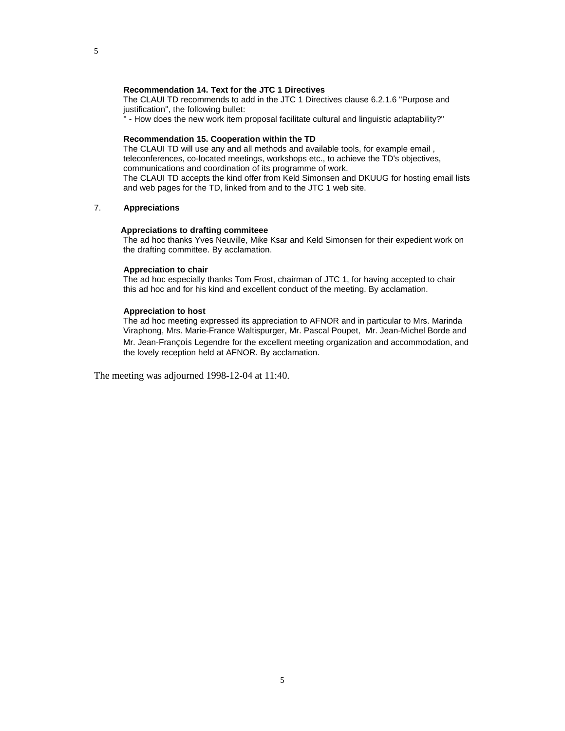#### **Recommendation 14. Text for the JTC 1 Directives**

The CLAUI TD recommends to add in the JTC 1 Directives clause 6.2.1.6 "Purpose and justification", the following bullet:

" - How does the new work item proposal facilitate cultural and linguistic adaptability?"

#### **Recommendation 15. Cooperation within the TD**

The CLAUI TD will use any and all methods and available tools, for example email , teleconferences, co-located meetings, workshops etc., to achieve the TD's objectives, communications and coordination of its programme of work. The CLAUI TD accepts the kind offer from Keld Simonsen and DKUUG for hosting email lists and web pages for the TD, linked from and to the JTC 1 web site.

## 7. **Appreciations**

#### **Appreciations to drafting commiteee**

The ad hoc thanks Yves Neuville, Mike Ksar and Keld Simonsen for their expedient work on the drafting committee. By acclamation.

#### **Appreciation to chair**

The ad hoc especially thanks Tom Frost, chairman of JTC 1, for having accepted to chair this ad hoc and for his kind and excellent conduct of the meeting. By acclamation.

#### **Appreciation to host**

The ad hoc meeting expressed its appreciation to AFNOR and in particular to Mrs. Marinda Viraphong, Mrs. Marie-France Waltispurger, Mr. Pascal Poupet, Mr. Jean-Michel Borde and Mr. Jean-François Legendre for the excellent meeting organization and accommodation, and the lovely reception held at AFNOR. By acclamation.

The meeting was adjourned 1998-12-04 at 11:40.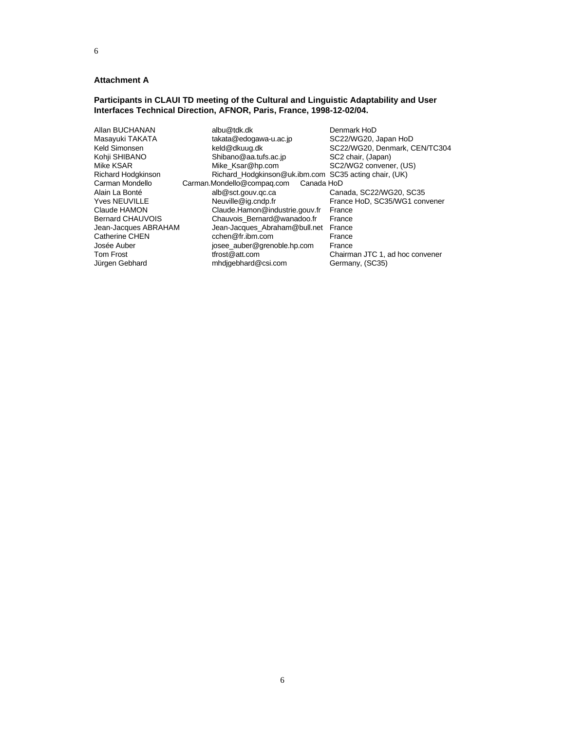#### 6

#### **Attachment A**

## **Participants in CLAUI TD meeting of the Cultural and Linguistic Adaptability and User Interfaces Technical Direction, AFNOR, Paris, France, 1998-12-02/04.**

| Allan BUCHANAN        | albu@tdk.dk                                           | Denmark HoD                     |
|-----------------------|-------------------------------------------------------|---------------------------------|
| Masayuki TAKATA       | takata@edogawa-u.ac.jp                                | SC22/WG20, Japan HoD            |
| Keld Simonsen         | keld@dkuug.dk                                         | SC22/WG20, Denmark, CEN/TC3     |
| Kohji SHIBANO         | Shibano@aa.tufs.ac.jp                                 | SC2 chair, (Japan)              |
| Mike KSAR             | Mike Ksar@hp.com                                      | SC2/WG2 convener, (US)          |
| Richard Hodgkinson    | Richard Hodgkinson@uk.ibm.com SC35 acting chair, (UK) |                                 |
| Carman Mondello       | Carman.Mondello@compag.com<br>Canada HoD              |                                 |
| Alain La Bonté        | alb@sct.gouv.gc.ca                                    | Canada, SC22/WG20, SC35         |
| <b>Yves NEUVILLE</b>  | Neuville@ig.cndp.fr                                   | France HoD, SC35/WG1 convene    |
| Claude HAMON          | Claude.Hamon@industrie.gouv.fr                        | France                          |
| Bernard CHAUVOIS      | Chauvois Bernard@wanadoo.fr                           | France                          |
| Jean-Jacques ABRAHAM  | Jean-Jacques_Abraham@bull.net                         | France                          |
| <b>Catherine CHEN</b> | cchen@fr.ibm.com                                      | France                          |
| Josée Auber           | josee auber@grenoble.hp.com                           | France                          |
| <b>Tom Frost</b>      | tfrost@att.com                                        | Chairman JTC 1, ad hoc convener |
| Jürgen Gebhard        | mhdigebhard@csi.com                                   | Germany, (SC35)                 |

SC22/WG20, Denmark, CEN/TC304 SC35 acting chair, (UK)<br>HoD France HoD, SC35/WG1 convener<br>France Germany, (SC35)